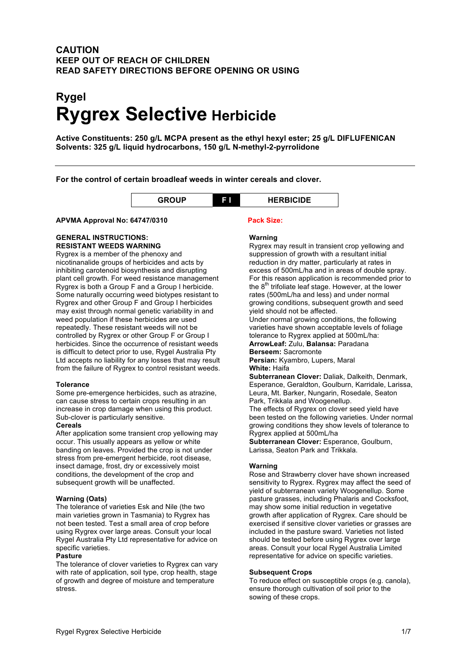### **CAUTION KEEP OUT OF REACH OF CHILDREN READ SAFETY DIRECTIONS BEFORE OPENING OR USING**

# **Rygel Rygrex Selective Herbicide**

**Active Constituents: 250 g/L MCPA present as the ethyl hexyl ester; 25 g/L DIFLUFENICAN Solvents: 325 g/L liquid hydrocarbons, 150 g/L N-methyl-2-pyrrolidone**

**For the control of certain broadleaf weeds in winter cereals and clover.**

| . . | <b>BICIDE</b> |
|-----|---------------|
|     |               |

### **APVMA Approval No: 64747/0310 Pack Size:**

### **GENERAL INSTRUCTIONS: RESISTANT WEEDS WARNING**

Rygrex is a member of the phenoxy and nicotinanalide groups of herbicides and acts by inhibiting carotenoid biosynthesis and disrupting plant cell growth. For weed resistance management Rygrex is both a Group F and a Group I herbicide. Some naturally occurring weed biotypes resistant to Rygrex and other Group F and Group I herbicides may exist through normal genetic variability in and weed population if these herbicides are used repeatedly. These resistant weeds will not be controlled by Rygrex or other Group F or Group I herbicides. Since the occurrence of resistant weeds is difficult to detect prior to use, Rygel Australia Pty Ltd accepts no liability for any losses that may result from the failure of Rygrex to control resistant weeds.

### **Tolerance**

Some pre-emergence herbicides, such as atrazine, can cause stress to certain crops resulting in an increase in crop damage when using this product. Sub-clover is particularly sensitive.

### **Cereals**

After application some transient crop yellowing may occur. This usually appears as yellow or white banding on leaves. Provided the crop is not under stress from pre-emergent herbicide, root disease, insect damage, frost, dry or excessively moist conditions, the development of the crop and subsequent growth will be unaffected.

### **Warning (Oats)**

The tolerance of varieties Esk and Nile (the two main varieties grown in Tasmania) to Rygrex has not been tested. Test a small area of crop before using Rygrex over large areas. Consult your local Rygel Australia Pty Ltd representative for advice on specific varieties.

### **Pasture**

The tolerance of clover varieties to Rygrex can vary with rate of application, soil type, crop health, stage of growth and degree of moisture and temperature stress.

### **Warning**

Rygrex may result in transient crop yellowing and suppression of growth with a resultant initial reduction in dry matter, particularly at rates in excess of 500mL/ha and in areas of double spray. For this reason application is recommended prior to the 8<sup>th</sup> trifoliate leaf stage. However, at the lower rates (500mL/ha and less) and under normal growing conditions, subsequent growth and seed yield should not be affected. Under normal growing conditions, the following varieties have shown acceptable levels of foliage tolerance to Rygrex applied at 500mL/ha: **ArrowLeaf:** Zulu, **Balansa:** Paradana **Berseem:** Sacromonte **Persian:** Kyambro, Lupers, Maral

**White:** Haifa

**Subterranean Clover:** Daliak, Dalkeith, Denmark, Esperance, Geraldton, Goulburn, Karridale, Larissa, Leura, Mt. Barker, Nungarin, Rosedale, Seaton Park, Trikkala and Woogenellup.

The effects of Rygrex on clover seed yield have been tested on the following varieties. Under normal growing conditions they show levels of tolerance to Rygrex applied at 500mL/ha

**Subterranean Clover:** Esperance, Goulburn, Larissa, Seaton Park and Trikkala.

### **Warning**

Rose and Strawberry clover have shown increased sensitivity to Rygrex. Rygrex may affect the seed of yield of subterranean variety Woogenellup. Some pasture grasses, including Phalaris and Cocksfoot, may show some initial reduction in vegetative growth after application of Rygrex. Care should be exercised if sensitive clover varieties or grasses are included in the pasture sward. Varieties not listed should be tested before using Rygrex over large areas. Consult your local Rygel Australia Limited representative for advice on specific varieties.

### **Subsequent Crops**

To reduce effect on susceptible crops (e.g. canola), ensure thorough cultivation of soil prior to the sowing of these crops.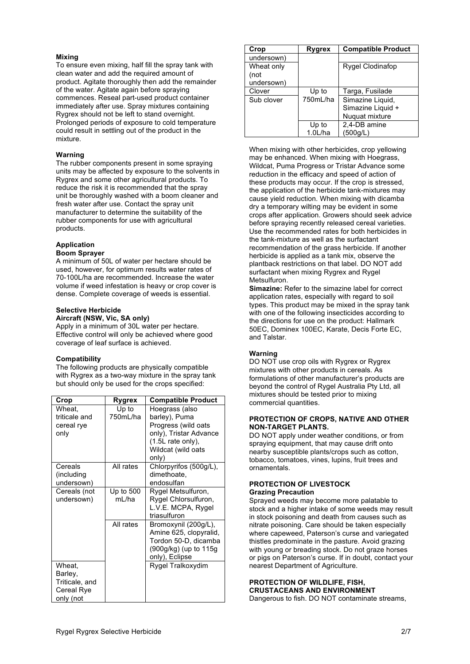### **Mixing**

To ensure even mixing, half fill the spray tank with clean water and add the required amount of product. Agitate thoroughly then add the remainder of the water. Agitate again before spraying commences. Reseal part-used product container immediately after use. Spray mixtures containing Rygrex should not be left to stand overnight. Prolonged periods of exposure to cold temperature could result in settling out of the product in the mixture.

#### **Warning**

The rubber components present in some spraying units may be affected by exposure to the solvents in Rygrex and some other agricultural products. To reduce the risk it is recommended that the spray unit be thoroughly washed with a boom cleaner and fresh water after use. Contact the spray unit manufacturer to determine the suitability of the rubber components for use with agricultural products.

## **Application**

### **Boom Sprayer**

A minimum of 50L of water per hectare should be used, however, for optimum results water rates of 70-100L/ha are recommended. Increase the water volume if weed infestation is heavy or crop cover is dense. Complete coverage of weeds is essential.

### **Selective Herbicide**

**Aircraft (NSW, Vic, SA only)** Apply in a minimum of 30L water per hectare. Effective control will only be achieved where good coverage of leaf surface is achieved.

#### **Compatibility**

The following products are physically compatible with Rygrex as a two-way mixture in the spray tank but should only be used for the crops specified:

| Crop                                                           | Rygrex                | <b>Compatible Product</b>                                                                                                                      |
|----------------------------------------------------------------|-----------------------|------------------------------------------------------------------------------------------------------------------------------------------------|
| Wheat,<br>triticale and<br>cereal rye<br>only                  | Up to<br>750mL/ha     | Hoegrass (also<br>barley), Puma<br>Progress (wild oats<br>only), Tristar Advance<br>$(1.5L \text{ rate only}),$<br>Wildcat (wild oats<br>only) |
| Cereals<br>(including<br>undersown)                            | All rates             | Chlorpyrifos (500g/L),<br>dimethoate,<br>endosulfan                                                                                            |
| Cereals (not<br>undersown)                                     | Up to $500$<br>ml /ha | Rygel Metsulfuron,<br>Rygel Chlorsulfuron,<br>L.V.E. MCPA, Rygel<br>triasulfuron                                                               |
|                                                                | All rates             | Bromoxynil (200g/L),<br>Amine 625, clopyralid,<br>Tordon 50-D, dicamba<br>(900g/kg) (up to 115g<br>only), Eclipse                              |
| Wheat,<br>Barley,<br>Triticale, and<br>Cereal Rye<br>only (not |                       | Rygel Tralkoxydim                                                                                                                              |

| Crop       | Rygrex   | <b>Compatible Product</b> |
|------------|----------|---------------------------|
| undersown) |          |                           |
| Wheat only |          | Rygel Clodinafop          |
| (not       |          |                           |
| undersown) |          |                           |
| Clover     | Up to    | Targa, Fusilade           |
| Sub clover | 750mL/ha | Simazine Liquid,          |
|            |          | Simazine Liquid +         |
|            |          | Nuguat mixture            |
|            | Up to    | 2,4-DB amine              |
|            | 1.0L/ha  | (500g/L)                  |

When mixing with other herbicides, crop yellowing may be enhanced. When mixing with Hoegrass, Wildcat, Puma Progress or Tristar Advance some reduction in the efficacy and speed of action of these products may occur. If the crop is stressed, the application of the herbicide tank-mixtures may cause yield reduction. When mixing with dicamba dry a temporary wilting may be evident in some crops after application. Growers should seek advice before spraying recently released cereal varieties. Use the recommended rates for both herbicides in the tank-mixture as well as the surfactant recommendation of the grass herbicide. If another herbicide is applied as a tank mix, observe the plantback restrictions on that label. DO NOT add surfactant when mixing Rygrex and Rygel **Metsulfuron** 

**Simazine:** Refer to the simazine label for correct application rates, especially with regard to soil types. This product may be mixed in the spray tank with one of the following insecticides according to the directions for use on the product: Hallmark 50EC, Dominex 100EC, Karate, Decis Forte EC, and Talstar.

### **Warning**

DO NOT use crop oils with Rygrex or Rygrex mixtures with other products in cereals. As formulations of other manufacturer's products are beyond the control of Rygel Australia Pty Ltd, all mixtures should be tested prior to mixing commercial quantities.

### **PROTECTION OF CROPS, NATIVE AND OTHER NON-TARGET PLANTS.**

DO NOT apply under weather conditions, or from spraying equipment, that may cause drift onto nearby susceptible plants/crops such as cotton, tobacco, tomatoes, vines, lupins, fruit trees and ornamentals.

### **PROTECTION OF LIVESTOCK Grazing Precaution**

Sprayed weeds may become more palatable to stock and a higher intake of some weeds may result in stock poisoning and death from causes such as nitrate poisoning. Care should be taken especially where capeweed, Paterson's curse and variegated thistles predominate in the pasture. Avoid grazing with young or breading stock. Do not graze horses or pigs on Paterson's curse. If in doubt, contact your nearest Department of Agriculture.

### **PROTECTION OF WILDLIFE, FISH, CRUSTACEANS AND ENVIRONMENT**

Dangerous to fish. DO NOT contaminate streams,